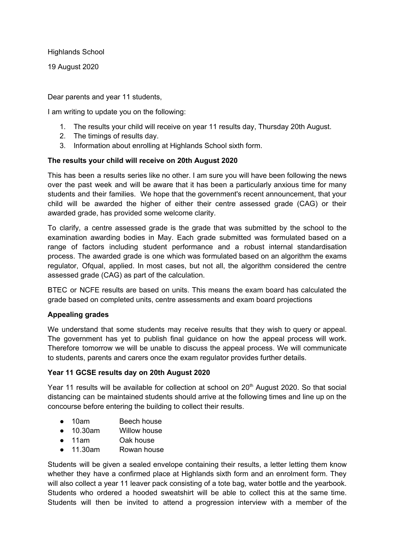Highlands School

19 August 2020

Dear parents and year 11 students,

I am writing to update you on the following:

- 1. The results your child will receive on year 11 results day, Thursday 20th August.
- 2. The timings of results day.
- 3. Information about enrolling at Highlands School sixth form.

## **The results your child will receive on 20th August 2020**

This has been a results series like no other. I am sure you will have been following the news over the past week and will be aware that it has been a particularly anxious time for many students and their families. We hope that the government's recent announcement, that your child will be awarded the higher of either their centre assessed grade (CAG) or their awarded grade, has provided some welcome clarity.

To clarify, a centre assessed grade is the grade that was submitted by the school to the examination awarding bodies in May. Each grade submitted was formulated based on a range of factors including student performance and a robust internal standardisation process. The awarded grade is one which was formulated based on an algorithm the exams regulator, Ofqual, applied. In most cases, but not all, the algorithm considered the centre assessed grade (CAG) as part of the calculation.

BTEC or NCFE results are based on units. This means the exam board has calculated the grade based on completed units, centre assessments and exam board projections

## **Appealing grades**

We understand that some students may receive results that they wish to query or appeal. The government has yet to publish final guidance on how the appeal process will work. Therefore tomorrow we will be unable to discuss the appeal process. We will communicate to students, parents and carers once the exam regulator provides further details.

## **Year 11 GCSE results day on 20th August 2020**

Year 11 results will be available for collection at school on 20<sup>th</sup> August 2020. So that social distancing can be maintained students should arrive at the following times and line up on the concourse before entering the building to collect their results.

- 10am Beech house
- 10.30am Willow house
- 11am Oak house
- 11.30am Rowan house

Students will be given a sealed envelope containing their results, a letter letting them know whether they have a confirmed place at Highlands sixth form and an enrolment form. They will also collect a year 11 leaver pack consisting of a tote bag, water bottle and the yearbook. Students who ordered a hooded sweatshirt will be able to collect this at the same time. Students will then be invited to attend a progression interview with a member of the